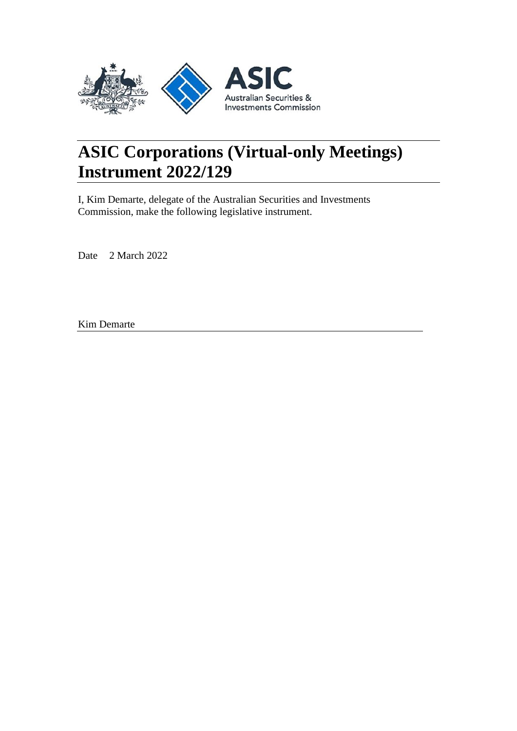

# **ASIC Corporations (Virtual-only Meetings) Instrument 2022/129**

I, Kim Demarte, delegate of the Australian Securities and Investments Commission, make the following legislative instrument.

Date 2 March 2022

Kim Demarte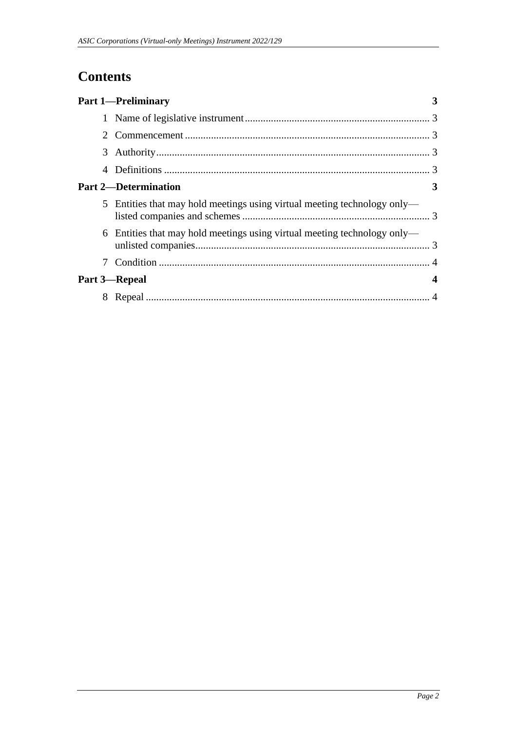## **Contents**

|   | <b>Part 1-Preliminary</b>                                                |                  |
|---|--------------------------------------------------------------------------|------------------|
|   |                                                                          |                  |
| 2 |                                                                          |                  |
|   |                                                                          |                  |
|   |                                                                          |                  |
|   | <b>Part 2—Determination</b>                                              | 3                |
|   | 5 Entities that may hold meetings using virtual meeting technology only— |                  |
|   | 6 Entities that may hold meetings using virtual meeting technology only— |                  |
|   |                                                                          |                  |
|   | Part 3-Repeal                                                            | $\boldsymbol{4}$ |
| 8 |                                                                          |                  |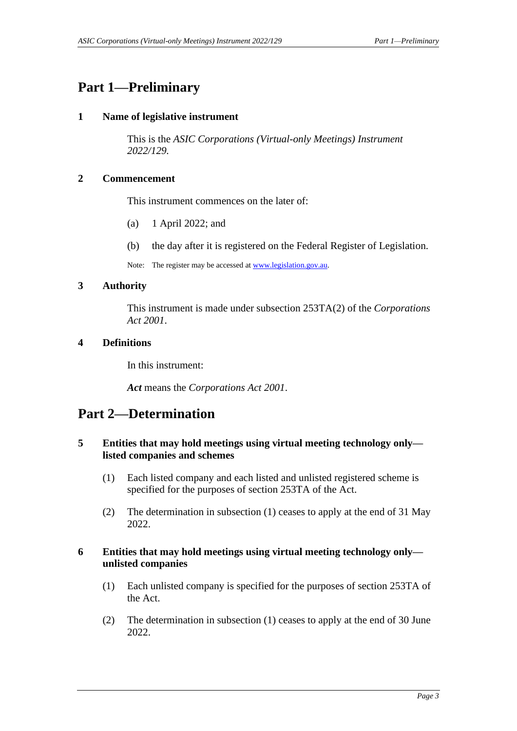### <span id="page-2-1"></span><span id="page-2-0"></span>**Part 1—Preliminary**

### **1 Name of legislative instrument**

This is the *ASIC Corporations (Virtual-only Meetings) Instrument 2022/129.*

### <span id="page-2-2"></span>**2 Commencement**

This instrument commences on the later of:

- (a) 1 April 2022; and
- (b) the day after it is registered on the Federal Register of Legislation.

Note: The register may be accessed a[t www.legislation.gov.au.](http://www.legislation.gov.au/)

#### <span id="page-2-3"></span>**3 Authority**

This instrument is made under subsection 253TA(2) of the *Corporations Act 2001*.

#### <span id="page-2-4"></span>**4 Definitions**

In this instrument:

*Act* means the *Corporations Act 2001*.

### <span id="page-2-6"></span><span id="page-2-5"></span>**Part 2—Determination**

### **5 Entities that may hold meetings using virtual meeting technology only listed companies and schemes**

- (1) Each listed company and each listed and unlisted registered scheme is specified for the purposes of section 253TA of the Act.
- (2) The determination in subsection (1) ceases to apply at the end of 31 May 2022.

#### <span id="page-2-7"></span>**6 Entities that may hold meetings using virtual meeting technology only unlisted companies**

- (1) Each unlisted company is specified for the purposes of section 253TA of the Act.
- (2) The determination in subsection (1) ceases to apply at the end of 30 June 2022.